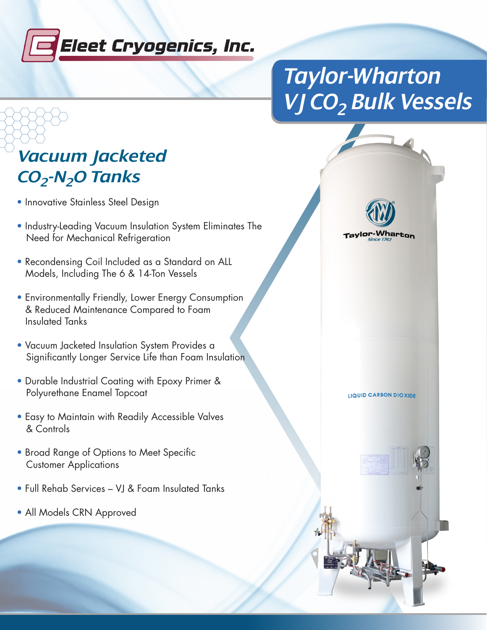

## *Taylor-Wharton VJ CO2 Bulk Vessels*

## *Vacuum Jacketed CO2-N2O Tanks*

- Innovative Stainless Steel Design
- Industry-Leading Vacuum Insulation System Eliminates The Need for Mechanical Refrigeration
- Recondensing Coil Included as a Standard on ALL Models, Including The 6 & 14-Ton Vessels
- Environmentally Friendly, Lower Energy Consumption & Reduced Maintenance Compared to Foam Insulated Tanks
- Vacuum Jacketed Insulation System Provides a Significantly Longer Service Life than Foam Insulation
- Durable Industrial Coating with Epoxy Primer & Polyurethane Enamel Topcoat
- Easy to Maintain with Readily Accessible Valves & Controls
- Broad Range of Options to Meet Specific Customer Applications
- Full Rehab Services VJ & Foam Insulated Tanks
- All Models CRN Approved